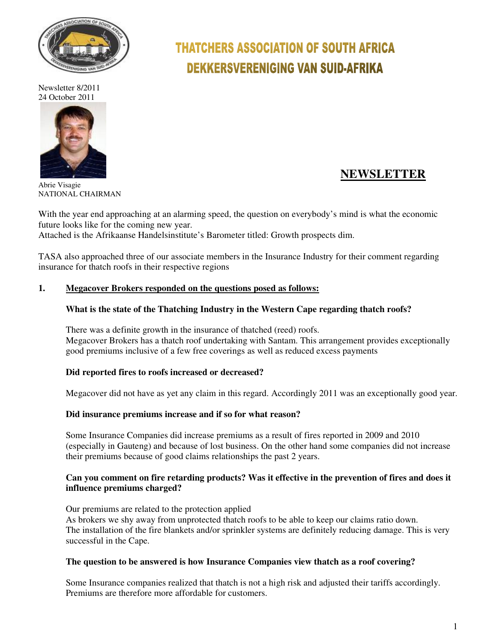

Newsletter 8/2011 24 October 2011



 **NEWSLETTER**

Abrie Visagie NATIONAL CHAIRMAN

With the year end approaching at an alarming speed, the question on everybody's mind is what the economic future looks like for the coming new year.

**THATCHERS ASSOCIATION OF SOUTH AFRICA** 

**DEKKERSVERENIGING VAN SUID-AFRIKA** 

Attached is the Afrikaanse Handelsinstitute's Barometer titled: Growth prospects dim.

TASA also approached three of our associate members in the Insurance Industry for their comment regarding insurance for thatch roofs in their respective regions

### **1. Megacover Brokers responded on the questions posed as follows:**

### **What is the state of the Thatching Industry in the Western Cape regarding thatch roofs?**

There was a definite growth in the insurance of thatched (reed) roofs. Megacover Brokers has a thatch roof undertaking with Santam. This arrangement provides exceptionally good premiums inclusive of a few free coverings as well as reduced excess payments

#### **Did reported fires to roofs increased or decreased?**

Megacover did not have as yet any claim in this regard. Accordingly 2011 was an exceptionally good year.

#### **Did insurance premiums increase and if so for what reason?**

Some Insurance Companies did increase premiums as a result of fires reported in 2009 and 2010 (especially in Gauteng) and because of lost business. On the other hand some companies did not increase their premiums because of good claims relationships the past 2 years.

### **Can you comment on fire retarding products? Was it effective in the prevention of fires and does it influence premiums charged?**

Our premiums are related to the protection applied As brokers we shy away from unprotected thatch roofs to be able to keep our claims ratio down. The installation of the fire blankets and/or sprinkler systems are definitely reducing damage. This is very successful in the Cape.

#### **The question to be answered is how Insurance Companies view thatch as a roof covering?**

Some Insurance companies realized that thatch is not a high risk and adjusted their tariffs accordingly. Premiums are therefore more affordable for customers.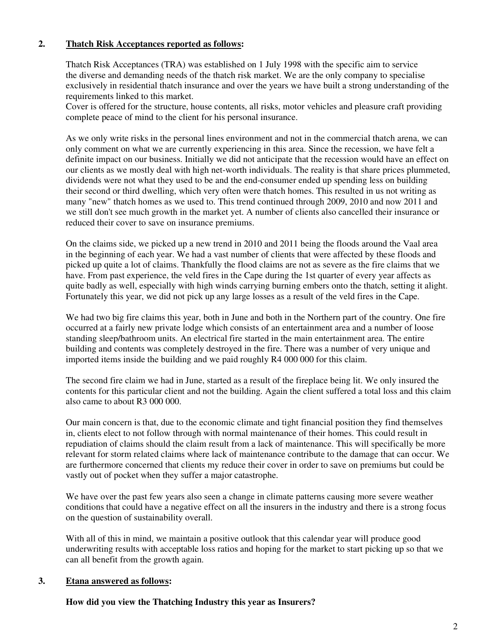# **2. Thatch Risk Acceptances reported as follows:**

Thatch Risk Acceptances (TRA) was established on 1 July 1998 with the specific aim to service the diverse and demanding needs of the thatch risk market. We are the only company to specialise exclusively in residential thatch insurance and over the years we have built a strong understanding of the requirements linked to this market.

Cover is offered for the structure, house contents, all risks, motor vehicles and pleasure craft providing complete peace of mind to the client for his personal insurance.

As we only write risks in the personal lines environment and not in the commercial thatch arena, we can only comment on what we are currently experiencing in this area. Since the recession, we have felt a definite impact on our business. Initially we did not anticipate that the recession would have an effect on our clients as we mostly deal with high net-worth individuals. The reality is that share prices plummeted, dividends were not what they used to be and the end-consumer ended up spending less on building their second or third dwelling, which very often were thatch homes. This resulted in us not writing as many "new" thatch homes as we used to. This trend continued through 2009, 2010 and now 2011 and we still don't see much growth in the market yet. A number of clients also cancelled their insurance or reduced their cover to save on insurance premiums.

On the claims side, we picked up a new trend in 2010 and 2011 being the floods around the Vaal area in the beginning of each year. We had a vast number of clients that were affected by these floods and picked up quite a lot of claims. Thankfully the flood claims are not as severe as the fire claims that we have. From past experience, the veld fires in the Cape during the 1st quarter of every year affects as quite badly as well, especially with high winds carrying burning embers onto the thatch, setting it alight. Fortunately this year, we did not pick up any large losses as a result of the veld fires in the Cape.

We had two big fire claims this year, both in June and both in the Northern part of the country. One fire occurred at a fairly new private lodge which consists of an entertainment area and a number of loose standing sleep/bathroom units. An electrical fire started in the main entertainment area. The entire building and contents was completely destroyed in the fire. There was a number of very unique and imported items inside the building and we paid roughly R4 000 000 for this claim.

The second fire claim we had in June, started as a result of the fireplace being lit. We only insured the contents for this particular client and not the building. Again the client suffered a total loss and this claim also came to about R3 000 000.

Our main concern is that, due to the economic climate and tight financial position they find themselves in, clients elect to not follow through with normal maintenance of their homes. This could result in repudiation of claims should the claim result from a lack of maintenance. This will specifically be more relevant for storm related claims where lack of maintenance contribute to the damage that can occur. We are furthermore concerned that clients my reduce their cover in order to save on premiums but could be vastly out of pocket when they suffer a major catastrophe.

We have over the past few years also seen a change in climate patterns causing more severe weather conditions that could have a negative effect on all the insurers in the industry and there is a strong focus on the question of sustainability overall.

With all of this in mind, we maintain a positive outlook that this calendar year will produce good underwriting results with acceptable loss ratios and hoping for the market to start picking up so that we can all benefit from the growth again.

#### **3. Etana answered as follows:**

**How did you view the Thatching Industry this year as Insurers?**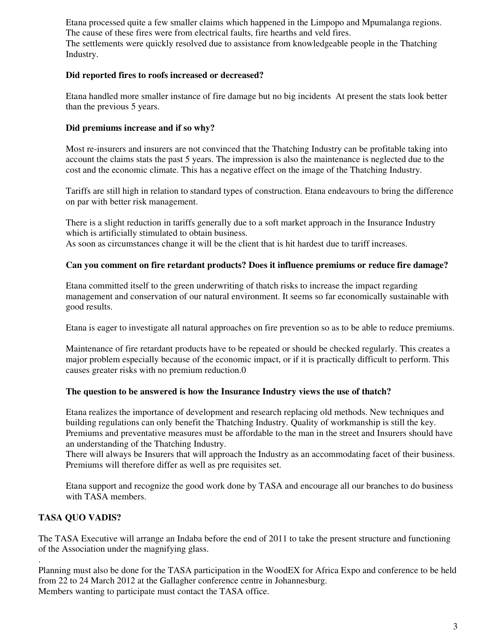Etana processed quite a few smaller claims which happened in the Limpopo and Mpumalanga regions. The cause of these fires were from electrical faults, fire hearths and veld fires. The settlements were quickly resolved due to assistance from knowledgeable people in the Thatching Industry.

# **Did reported fires to roofs increased or decreased?**

Etana handled more smaller instance of fire damage but no big incidents At present the stats look better than the previous 5 years.

# **Did premiums increase and if so why?**

Most re-insurers and insurers are not convinced that the Thatching Industry can be profitable taking into account the claims stats the past 5 years. The impression is also the maintenance is neglected due to the cost and the economic climate. This has a negative effect on the image of the Thatching Industry.

Tariffs are still high in relation to standard types of construction. Etana endeavours to bring the difference on par with better risk management.

There is a slight reduction in tariffs generally due to a soft market approach in the Insurance Industry which is artificially stimulated to obtain business.

As soon as circumstances change it will be the client that is hit hardest due to tariff increases.

### **Can you comment on fire retardant products? Does it influence premiums or reduce fire damage?**

Etana committed itself to the green underwriting of thatch risks to increase the impact regarding management and conservation of our natural environment. It seems so far economically sustainable with good results.

Etana is eager to investigate all natural approaches on fire prevention so as to be able to reduce premiums.

Maintenance of fire retardant products have to be repeated or should be checked regularly. This creates a major problem especially because of the economic impact, or if it is practically difficult to perform. This causes greater risks with no premium reduction.0

#### **The question to be answered is how the Insurance Industry views the use of thatch?**

Etana realizes the importance of development and research replacing old methods. New techniques and building regulations can only benefit the Thatching Industry. Quality of workmanship is still the key. Premiums and preventative measures must be affordable to the man in the street and Insurers should have an understanding of the Thatching Industry.

There will always be Insurers that will approach the Industry as an accommodating facet of their business. Premiums will therefore differ as well as pre requisites set.

Etana support and recognize the good work done by TASA and encourage all our branches to do business with TASA members.

# **TASA QUO VADIS?**

.

The TASA Executive will arrange an Indaba before the end of 2011 to take the present structure and functioning of the Association under the magnifying glass.

Planning must also be done for the TASA participation in the WoodEX for Africa Expo and conference to be held from 22 to 24 March 2012 at the Gallagher conference centre in Johannesburg. Members wanting to participate must contact the TASA office.